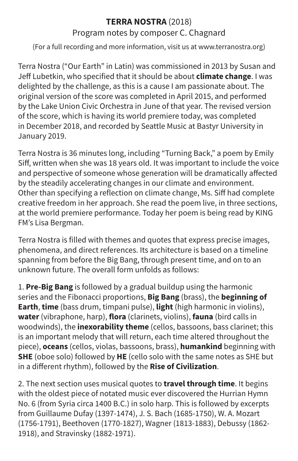## **TERRA NOSTRA** (2018)

## Program notes by composer C. Chagnard

(For a full recording and more information, visit us at www.terranostra.org)

Terra Nostra ("Our Earth" in Latin) was commissioned in 2013 by Susan and Jeff Lubetkin, who specified that it should be about **climate change**. I was delighted by the challenge, as this is a cause I am passionate about. The original version of the score was completed in April 2015, and performed by the Lake Union Civic Orchestra in June of that year. The revised version of the score, which is having its world premiere today, was completed in December 2018, and recorded by Seattle Music at Bastyr University in January 2019.

Terra Nostra is 36 minutes long, including "Turning Back," a poem by Emily Siff, written when she was 18 years old. It was important to include the voice and perspective of someone whose generation will be dramatically affected by the steadily accelerating changes in our climate and environment. Other than specifying a reflection on climate change, Ms. Siff had complete creative freedom in her approach. She read the poem live, in three sections, at the world premiere performance. Today her poem is being read by KING FM's Lisa Bergman.

Terra Nostra is filled with themes and quotes that express precise images, phenomena, and direct references. Its architecture is based on a timeline spanning from before the Big Bang, through present time, and on to an unknown future. The overall form unfolds as follows:

1. **Pre-Big Bang** is followed by a gradual buildup using the harmonic series and the Fibonacci proportions, **Big Bang** (brass), the **beginning of Earth**, **time** (bass drum, timpani pulse), **light** (high harmonic in violins), **water** (vibraphone, harp), **flora** (clarinets, violins), **fauna** (bird calls in woodwinds), the **inexorability theme** (cellos, bassoons, bass clarinet; this is an important melody that will return, each time altered throughout the piece), **oceans** (cellos, violas, bassoons, brass), **humankind** beginning with **SHE** (oboe solo) followed by **HE** (cello solo with the same notes as SHE but in a different rhythm), followed by the **Rise of Civilization**.

2. The next section uses musical quotes to **travel through time**. It begins with the oldest piece of notated music ever discovered the Hurrian Hymn No. 6 (from Syria circa 1400 B.C.) in solo harp. This is followed by excerpts from Guillaume Dufay (1397-1474), J. S. Bach (1685-1750), W. A. Mozart (1756-1791), Beethoven (1770-1827), Wagner (1813-1883), Debussy (1862- 1918), and Stravinsky (1882-1971).